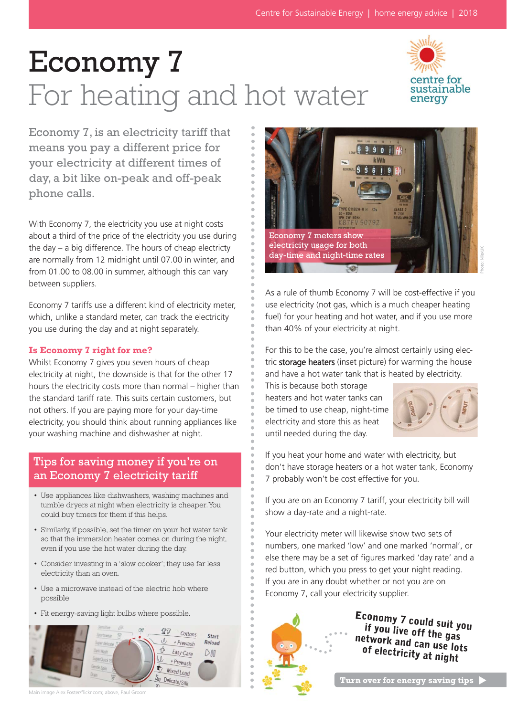# Economy 7 For heating and hot water



Economy 7, is an electricity tariff that means you pay a different price for your electricity at different times of day, a bit like on-peak and off-peak phone calls.

With Economy 7, the electricity you use at night costs about a third of the price of the electricity you use during the day – a big difference. The hours of cheap electricty are normally from 12 midnight until 07.00 in winter, and from 01.00 to 08.00 in summer, although this can vary between suppliers.

Economy 7 tariffs use a different kind of electricity meter, which, unlike a standard meter, can track the electricity you use during the day and at night separately.

#### **Is Economy 7 right for me?**

Whilst Economy 7 gives you seven hours of cheap electricity at night, the downside is that for the other 17 hours the electricity costs more than normal – higher than the standard tariff rate. This suits certain customers, but not others. If you are paying more for your day-time electricity, you should think about running appliances like your washing machine and dishwasher at night.

## Tips for saving money if you're on an Economy 7 electricity tariff

- Use appliances like dishwashers, washing machines and tumble dryers at night when electricity is cheaper. You could buy timers for them if this helps.
- Similarly, if possible, set the timer on your hot water tank so that the immersion heater comes on during the night, even if you use the hot water during the day.
- Consider investing in a 'slow cooker'; they use far less electricity than an oven.
- Use a microwave instead of the electric hob where possible.
- 





Photo: NilexUK

As a rule of thumb Economy 7 will be cost-effective if you use electricity (not gas, which is a much cheaper heating fuel) for your heating and hot water, and if you use more than 40% of your electricity at night.

For this to be the case, you're almost certainly using electric storage heaters (inset picture) for warming the house and have a hot water tank that is heated by electricity.

This is because both storage heaters and hot water tanks can be timed to use cheap, night-time electricity and store this as heat until needed during the day.



If you heat your home and water with electricity, but don't have storage heaters or a hot water tank, Economy 7 probably won't be cost effective for you.

If you are on an Economy 7 tariff, your electricity bill will show a day-rate and a night-rate.

Your electricity meter will likewise show two sets of numbers, one marked 'low' and one marked 'normal', or else there may be a set of figures marked 'day rate' and a red button, which you press to get your night reading. If you are in any doubt whether or not you are on Economy 7, call your electricity supplier.



• Fit energy-saving light bulbs where possible.<br> **Economy 7 could suit you**<br> **Economy 7 could suit you if you live off the gas network and can use lots of electricity at night**